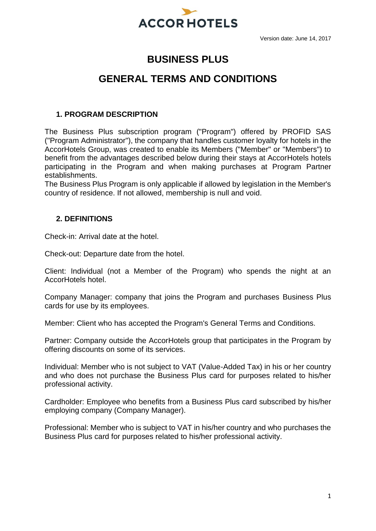

# **BUSINESS PLUS**

# **GENERAL TERMS AND CONDITIONS**

# **1. PROGRAM DESCRIPTION**

The Business Plus subscription program ("Program") offered by PROFID SAS ("Program Administrator"), the company that handles customer loyalty for hotels in the AccorHotels Group, was created to enable its Members ("Member" or "Members") to benefit from the advantages described below during their stays at AccorHotels hotels participating in the Program and when making purchases at Program Partner establishments.

The Business Plus Program is only applicable if allowed by legislation in the Member's country of residence. If not allowed, membership is null and void.

# **2. DEFINITIONS**

Check-in: Arrival date at the hotel.

Check-out: Departure date from the hotel.

Client: Individual (not a Member of the Program) who spends the night at an AccorHotels hotel.

Company Manager: company that joins the Program and purchases Business Plus cards for use by its employees.

Member: Client who has accepted the Program's General Terms and Conditions.

Partner: Company outside the AccorHotels group that participates in the Program by offering discounts on some of its services.

Individual: Member who is not subject to VAT (Value-Added Tax) in his or her country and who does not purchase the Business Plus card for purposes related to his/her professional activity.

Cardholder: Employee who benefits from a Business Plus card subscribed by his/her employing company (Company Manager).

Professional: Member who is subject to VAT in his/her country and who purchases the Business Plus card for purposes related to his/her professional activity.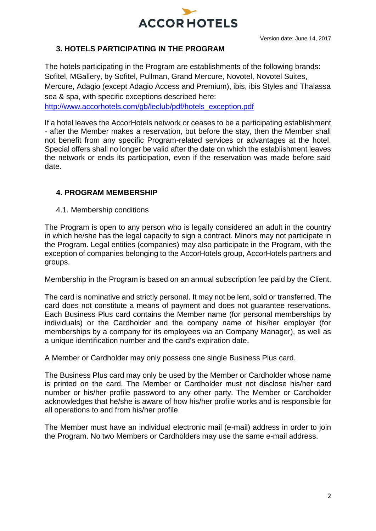

# **3. HOTELS PARTICIPATING IN THE PROGRAM**

The hotels participating in the Program are establishments of the following brands: Sofitel, MGallery, by Sofitel, Pullman, Grand Mercure, Novotel, Novotel Suites, Mercure, Adagio (except Adagio Access and Premium), ibis, ibis Styles and Thalassa sea & spa, with specific exceptions described here:

[http://www.accorhotels.com/gb/leclub/pdf/hotels\\_exception.pdf](http://www.accorhotels.com/gb/leclub/pdf/hotels_exception.pdf)

If a hotel leaves the AccorHotels network or ceases to be a participating establishment - after the Member makes a reservation, but before the stay, then the Member shall not benefit from any specific Program-related services or advantages at the hotel. Special offers shall no longer be valid after the date on which the establishment leaves the network or ends its participation, even if the reservation was made before said date.

# **4. PROGRAM MEMBERSHIP**

4.1. Membership conditions

The Program is open to any person who is legally considered an adult in the country in which he/she has the legal capacity to sign a contract. Minors may not participate in the Program. Legal entities (companies) may also participate in the Program, with the exception of companies belonging to the AccorHotels group, AccorHotels partners and groups.

Membership in the Program is based on an annual subscription fee paid by the Client.

The card is nominative and strictly personal. It may not be lent, sold or transferred. The card does not constitute a means of payment and does not guarantee reservations. Each Business Plus card contains the Member name (for personal memberships by individuals) or the Cardholder and the company name of his/her employer (for memberships by a company for its employees via an Company Manager), as well as a unique identification number and the card's expiration date.

A Member or Cardholder may only possess one single Business Plus card.

The Business Plus card may only be used by the Member or Cardholder whose name is printed on the card. The Member or Cardholder must not disclose his/her card number or his/her profile password to any other party. The Member or Cardholder acknowledges that he/she is aware of how his/her profile works and is responsible for all operations to and from his/her profile.

The Member must have an individual electronic mail (e-mail) address in order to join the Program. No two Members or Cardholders may use the same e-mail address.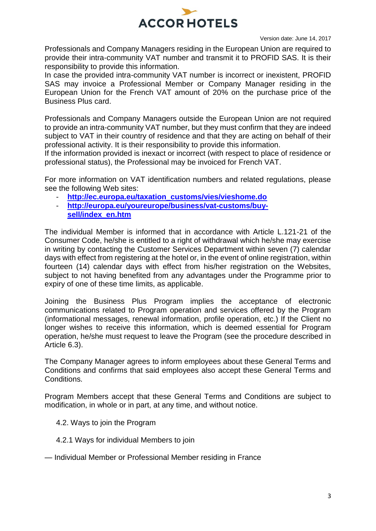

Professionals and Company Managers residing in the European Union are required to provide their intra-community VAT number and transmit it to PROFID SAS. It is their responsibility to provide this information.

In case the provided intra-community VAT number is incorrect or inexistent, PROFID SAS may invoice a Professional Member or Company Manager residing in the European Union for the French VAT amount of 20% on the purchase price of the Business Plus card.

Professionals and Company Managers outside the European Union are not required to provide an intra-community VAT number, but they must confirm that they are indeed subject to VAT in their country of residence and that they are acting on behalf of their professional activity. It is their responsibility to provide this information.

If the information provided is inexact or incorrect (with respect to place of residence or professional status), the Professional may be invoiced for French VAT.

For more information on VAT identification numbers and related regulations, please see the following Web sites:

- **[http://ec.europa.eu/taxation\\_customs/vies/vieshome.do](http://ec.europa.eu/taxation_customs/vies/vieshome.do)**
- **[http://europa.eu/youreurope/business/vat-customs/buy](http://europa.eu/youreurope/business/vat-customs/buy-sell/index_en.htm)[sell/index\\_en.htm](http://europa.eu/youreurope/business/vat-customs/buy-sell/index_en.htm)**

The individual Member is informed that in accordance with Article L.121-21 of the Consumer Code, he/she is entitled to a right of withdrawal which he/she may exercise in writing by contacting the Customer Services Department within seven (7) calendar days with effect from registering at the hotel or, in the event of online registration, within fourteen (14) calendar days with effect from his/her registration on the Websites, subject to not having benefited from any advantages under the Programme prior to expiry of one of these time limits, as applicable.

Joining the Business Plus Program implies the acceptance of electronic communications related to Program operation and services offered by the Program (informational messages, renewal information, profile operation, etc.) If the Client no longer wishes to receive this information, which is deemed essential for Program operation, he/she must request to leave the Program (see the procedure described in Article 6.3).

The Company Manager agrees to inform employees about these General Terms and Conditions and confirms that said employees also accept these General Terms and Conditions.

Program Members accept that these General Terms and Conditions are subject to modification, in whole or in part, at any time, and without notice.

- 4.2. Ways to join the Program
- 4.2.1 Ways for individual Members to join
- Individual Member or Professional Member residing in France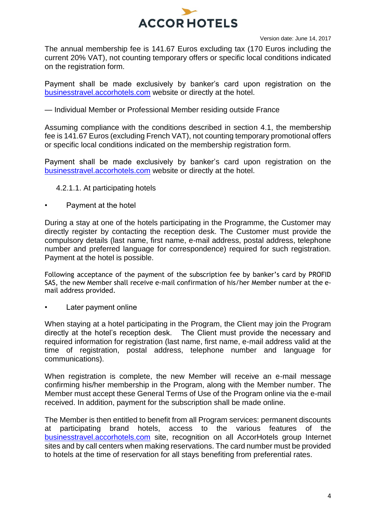

The annual membership fee is 141.67 Euros excluding tax (170 Euros including the current 20% VAT), not counting temporary offers or specific local conditions indicated on the registration form.

Payment shall be made exclusively by banker's card upon registration on the [businesstravel.accorhotels.com](http://businesstravel.accorhotels.com/) website or directly at the hotel.

— Individual Member or Professional Member residing outside France

Assuming compliance with the conditions described in section 4.1, the membership fee is 141.67 Euros (excluding French VAT), not counting temporary promotional offers or specific local conditions indicated on the membership registration form.

Payment shall be made exclusively by banker's card upon registration on the [businesstravel.accorhotels.com](http://businesstravel.accorhotels.com/) website or directly at the hotel.

- 4.2.1.1. At participating hotels
- Payment at the hotel

During a stay at one of the hotels participating in the Programme, the Customer may directly register by contacting the reception desk. The Customer must provide the compulsory details (last name, first name, e-mail address, postal address, telephone number and preferred language for correspondence) required for such registration. Payment at the hotel is possible.

Following acceptance of the payment of the subscription fee by banker's card by PROFID SAS, the new Member shall receive e-mail confirmation of his/her Member number at the email address provided.

Later payment online

When staying at a hotel participating in the Program, the Client may join the Program directly at the hotel's reception desk. The Client must provide the necessary and required information for registration (last name, first name, e-mail address valid at the time of registration, postal address, telephone number and language for communications).

When registration is complete, the new Member will receive an e-mail message confirming his/her membership in the Program, along with the Member number. The Member must accept these General Terms of Use of the Program online via the e-mail received. In addition, payment for the subscription shall be made online.

The Member is then entitled to benefit from all Program services: permanent discounts at participating brand hotels, access to the various features of the [businesstravel.accorhotels.com](http://businesstravel.accorhotels.com/) site, recognition on all AccorHotels group Internet sites and by call centers when making reservations. The card number must be provided to hotels at the time of reservation for all stays benefiting from preferential rates.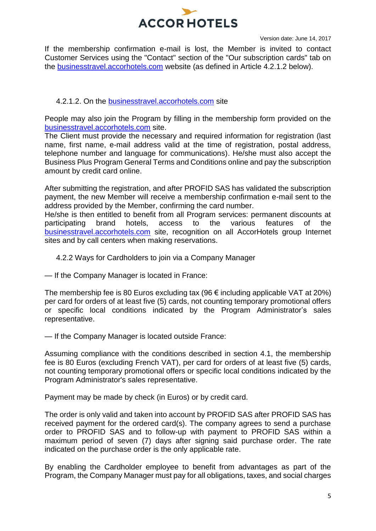

If the membership confirmation e-mail is lost, the Member is invited to contact Customer Services using the "Contact" section of the "Our subscription cards" tab on the [businesstravel.accorhotels.com](http://businesstravel.accorhotels.com/) website (as defined in Article 4.2.1.2 below).

# 4.2.1.2. On the [businesstravel.accorhotels.com](http://businesstravel.accorhotels.com/) site

People may also join the Program by filling in the membership form provided on the [businesstravel.accorhotels.com](http://businesstravel.accorhotels.com/) site.

The Client must provide the necessary and required information for registration (last name, first name, e-mail address valid at the time of registration, postal address, telephone number and language for communications). He/she must also accept the Business Plus Program General Terms and Conditions online and pay the subscription amount by credit card online.

After submitting the registration, and after PROFID SAS has validated the subscription payment, the new Member will receive a membership confirmation e-mail sent to the address provided by the Member, confirming the card number.

He/she is then entitled to benefit from all Program services: permanent discounts at participating brand hotels, access to the various features of the [businesstravel.accorhotels.com](http://businesstravel.accorhotels.com/) site, recognition on all AccorHotels group Internet sites and by call centers when making reservations.

# 4.2.2 Ways for Cardholders to join via a Company Manager

— If the Company Manager is located in France:

The membership fee is 80 Euros excluding tax (96  $\epsilon$  including applicable VAT at 20%) per card for orders of at least five (5) cards, not counting temporary promotional offers or specific local conditions indicated by the Program Administrator's sales representative.

— If the Company Manager is located outside France:

Assuming compliance with the conditions described in section 4.1, the membership fee is 80 Euros (excluding French VAT), per card for orders of at least five (5) cards, not counting temporary promotional offers or specific local conditions indicated by the Program Administrator's sales representative.

Payment may be made by check (in Euros) or by credit card.

The order is only valid and taken into account by PROFID SAS after PROFID SAS has received payment for the ordered card(s). The company agrees to send a purchase order to PROFID SAS and to follow-up with payment to PROFID SAS within a maximum period of seven (7) days after signing said purchase order. The rate indicated on the purchase order is the only applicable rate.

By enabling the Cardholder employee to benefit from advantages as part of the Program, the Company Manager must pay for all obligations, taxes, and social charges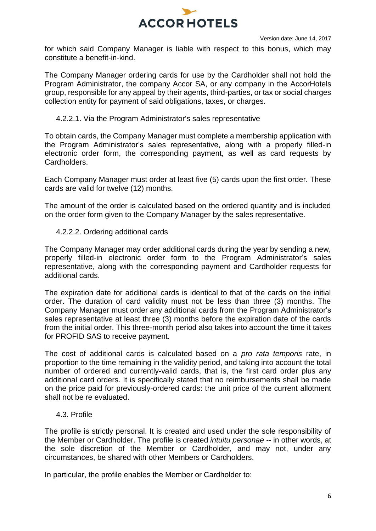

for which said Company Manager is liable with respect to this bonus, which may constitute a benefit-in-kind.

The Company Manager ordering cards for use by the Cardholder shall not hold the Program Administrator, the company Accor SA, or any company in the AccorHotels group, responsible for any appeal by their agents, third-parties, or tax or social charges collection entity for payment of said obligations, taxes, or charges.

### 4.2.2.1. Via the Program Administrator's sales representative

To obtain cards, the Company Manager must complete a membership application with the Program Administrator's sales representative, along with a properly filled-in electronic order form, the corresponding payment, as well as card requests by Cardholders.

Each Company Manager must order at least five (5) cards upon the first order. These cards are valid for twelve (12) months.

The amount of the order is calculated based on the ordered quantity and is included on the order form given to the Company Manager by the sales representative.

### 4.2.2.2. Ordering additional cards

The Company Manager may order additional cards during the year by sending a new, properly filled-in electronic order form to the Program Administrator's sales representative, along with the corresponding payment and Cardholder requests for additional cards.

The expiration date for additional cards is identical to that of the cards on the initial order. The duration of card validity must not be less than three (3) months. The Company Manager must order any additional cards from the Program Administrator's sales representative at least three (3) months before the expiration date of the cards from the initial order. This three-month period also takes into account the time it takes for PROFID SAS to receive payment.

The cost of additional cards is calculated based on a *pro rata temporis* rate, in proportion to the time remaining in the validity period, and taking into account the total number of ordered and currently-valid cards, that is, the first card order plus any additional card orders. It is specifically stated that no reimbursements shall be made on the price paid for previously-ordered cards: the unit price of the current allotment shall not be re evaluated.

### 4.3. Profile

The profile is strictly personal. It is created and used under the sole responsibility of the Member or Cardholder. The profile is created *intuitu personae -*- in other words, at the sole discretion of the Member or Cardholder, and may not, under any circumstances, be shared with other Members or Cardholders.

In particular, the profile enables the Member or Cardholder to: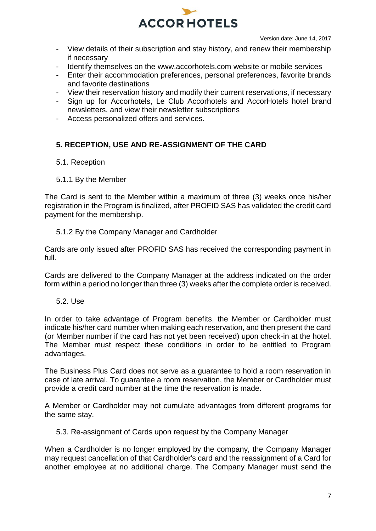

- View details of their subscription and stay history, and renew their membership if necessary
- Identify themselves on the [www.accorhotels.com](http://www.accorhotels.com/) website or mobile services
- Enter their accommodation preferences, personal preferences, favorite brands and favorite destinations
- View their reservation history and modify their current reservations, if necessary
- Sign up for Accorhotels, Le Club Accorhotels and AccorHotels hotel brand newsletters, and view their newsletter subscriptions
- Access personalized offers and services.

# **5. RECEPTION, USE AND RE-ASSIGNMENT OF THE CARD**

- 5.1. Reception
- 5.1.1 By the Member

The Card is sent to the Member within a maximum of three (3) weeks once his/her registration in the Program is finalized, after PROFID SAS has validated the credit card payment for the membership.

### 5.1.2 By the Company Manager and Cardholder

Cards are only issued after PROFID SAS has received the corresponding payment in full.

Cards are delivered to the Company Manager at the address indicated on the order form within a period no longer than three (3) weeks after the complete order is received.

5.2. Use

In order to take advantage of Program benefits, the Member or Cardholder must indicate his/her card number when making each reservation, and then present the card (or Member number if the card has not yet been received) upon check-in at the hotel. The Member must respect these conditions in order to be entitled to Program advantages.

The Business Plus Card does not serve as a guarantee to hold a room reservation in case of late arrival. To guarantee a room reservation, the Member or Cardholder must provide a credit card number at the time the reservation is made.

A Member or Cardholder may not cumulate advantages from different programs for the same stay.

5.3. Re-assignment of Cards upon request by the Company Manager

When a Cardholder is no longer employed by the company, the Company Manager may request cancellation of that Cardholder's card and the reassignment of a Card for another employee at no additional charge. The Company Manager must send the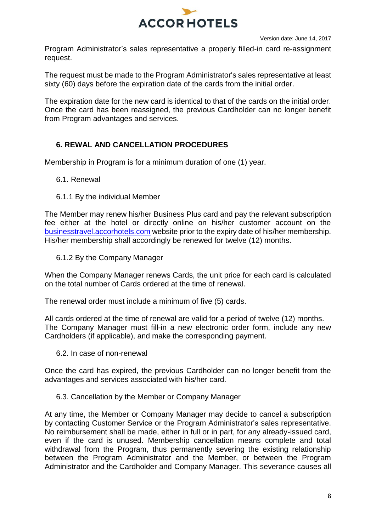

Program Administrator's sales representative a properly filled-in card re-assignment request.

The request must be made to the Program Administrator's sales representative at least sixty (60) days before the expiration date of the cards from the initial order.

The expiration date for the new card is identical to that of the cards on the initial order. Once the card has been reassigned, the previous Cardholder can no longer benefit from Program advantages and services.

# **6. REWAL AND CANCELLATION PROCEDURES**

Membership in Program is for a minimum duration of one (1) year.

- 6.1. Renewal
- 6.1.1 By the individual Member

The Member may renew his/her Business Plus card and pay the relevant subscription fee either at the hotel or directly online on his/her customer account on the [businesstravel.accorhotels.com](http://businesstravel.accorhotels.com/) website prior to the expiry date of his/her membership. His/her membership shall accordingly be renewed for twelve (12) months.

6.1.2 By the Company Manager

When the Company Manager renews Cards, the unit price for each card is calculated on the total number of Cards ordered at the time of renewal.

The renewal order must include a minimum of five (5) cards.

All cards ordered at the time of renewal are valid for a period of twelve (12) months. The Company Manager must fill-in a new electronic order form, include any new Cardholders (if applicable), and make the corresponding payment.

6.2. In case of non-renewal

Once the card has expired, the previous Cardholder can no longer benefit from the advantages and services associated with his/her card.

6.3. Cancellation by the Member or Company Manager

At any time, the Member or Company Manager may decide to cancel a subscription by contacting Customer Service or the Program Administrator's sales representative. No reimbursement shall be made, either in full or in part, for any already-issued card, even if the card is unused. Membership cancellation means complete and total withdrawal from the Program, thus permanently severing the existing relationship between the Program Administrator and the Member, or between the Program Administrator and the Cardholder and Company Manager. This severance causes all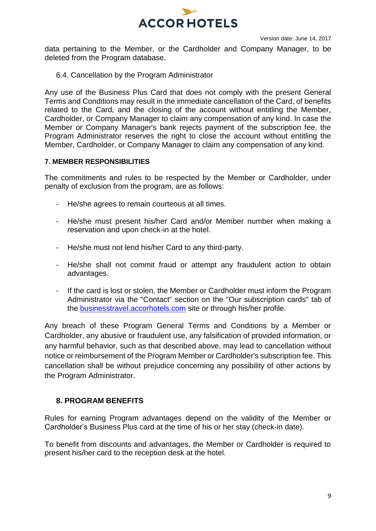

data pertaining to the Member, or the Cardholder and Company Manager, to be deleted from the Program database.

6.4. Cancellation by the Program Administrator

Any use of the Business Plus Card that does not comply with the present General Terms and Conditions may result in the immediate cancellation of the Card, of benefits related to the Card, and the closing of the account without entitling the Member, Cardholder, or Company Manager to claim any compensation of any kind. In case the Member or Company Manager's bank rejects payment of the subscription fee, the Program Administrator reserves the right to close the account without entitling the Member, Cardholder, or Company Manager to claim any compensation of any kind.

### **7. MEMBER RESPONSIBILITIES**

The commitments and rules to be respected by the Member or Cardholder, under penalty of exclusion from the program, are as follows:

- He/she agrees to remain courteous at all times.
- He/she must present his/her Card and/or Member number when making a reservation and upon check-in at the hotel.
- He/she must not lend his/her Card to any third-party.
- He/she shall not commit fraud or attempt any fraudulent action to obtain advantages.
- If the card is lost or stolen, the Member or Cardholder must inform the Program Administrator via the "Contact" section on the "Our subscription cards" tab of the [businesstravel.accorhotels.com](http://businesstravel.accorhotels.com/) site or through his/her profile.

Any breach of these Program General Terms and Conditions by a Member or Cardholder, any abusive or fraudulent use, any falsification of provided information, or any harmful behavior, such as that described above, may lead to cancellation without notice or reimbursement of the Program Member or Cardholder's subscription fee. This cancellation shall be without prejudice concerning any possibility of other actions by the Program Administrator.

# **8. PROGRAM BENEFITS**

Rules for earning Program advantages depend on the validity of the Member or Cardholder's Business Plus card at the time of his or her stay (check-in date).

To benefit from discounts and advantages, the Member or Cardholder is required to present his/her card to the reception desk at the hotel.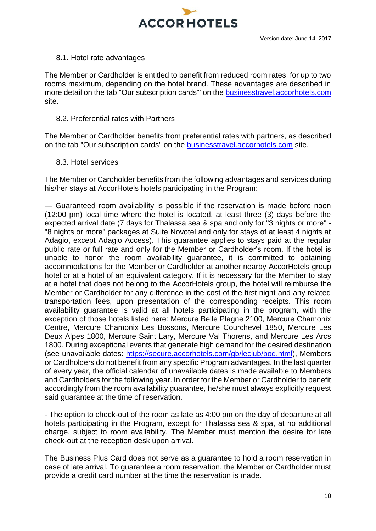

### 8.1. Hotel rate advantages

The Member or Cardholder is entitled to benefit from reduced room rates, for up to two rooms maximum, depending on the hotel brand. These advantages are described in more detail on the tab "Our subscription cards"' on the [businesstravel.accorhotels.com](http://businesstravel.accorhotels.com/) site.

### 8.2. Preferential rates with Partners

The Member or Cardholder benefits from preferential rates with partners, as described on the tab "Our subscription cards" on the **businesstravel.accorhotels.com** site.

### 8.3. Hotel services

The Member or Cardholder benefits from the following advantages and services during his/her stays at AccorHotels hotels participating in the Program:

— Guaranteed room availability is possible if the reservation is made before noon (12:00 pm) local time where the hotel is located, at least three (3) days before the expected arrival date (7 days for Thalassa sea & spa and only for "3 nights or more" - "8 nights or more" packages at Suite Novotel and only for stays of at least 4 nights at Adagio, except Adagio Access). This guarantee applies to stays paid at the regular public rate or full rate and only for the Member or Cardholder's room. If the hotel is unable to honor the room availability guarantee, it is committed to obtaining accommodations for the Member or Cardholder at another nearby AccorHotels group hotel or at a hotel of an equivalent category. If it is necessary for the Member to stay at a hotel that does not belong to the AccorHotels group, the hotel will reimburse the Member or Cardholder for any difference in the cost of the first night and any related transportation fees, upon presentation of the corresponding receipts. This room availability guarantee is valid at all hotels participating in the program, with the exception of those hotels listed here: Mercure Belle Plagne 2100, Mercure Chamonix Centre, Mercure Chamonix Les Bossons, Mercure Courchevel 1850, Mercure Les Deux Alpes 1800, Mercure Saint Lary, Mercure Val Thorens, and Mercure Les Arcs 1800. During exceptional events that generate high demand for the desired destination (see unavailable dates: [https://secure.accorhotels.com/gb/leclub/bod.html\)](https://secure.accorhotels.com/gb/leclub/bod.html), Members or Cardholders do not benefit from any specific Program advantages. In the last quarter of every year, the official calendar of unavailable dates is made available to Members and Cardholders for the following year. In order for the Member or Cardholder to benefit accordingly from the room availability guarantee, he/she must always explicitly request said guarantee at the time of reservation.

- The option to check-out of the room as late as 4:00 pm on the day of departure at all hotels participating in the Program, except for Thalassa sea & spa, at no additional charge, subject to room availability. The Member must mention the desire for late check-out at the reception desk upon arrival.

The Business Plus Card does not serve as a guarantee to hold a room reservation in case of late arrival. To guarantee a room reservation, the Member or Cardholder must provide a credit card number at the time the reservation is made.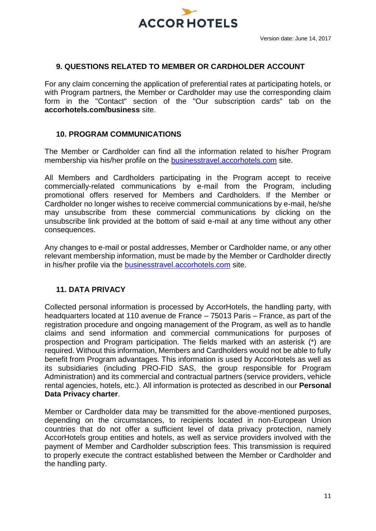

## **9. QUESTIONS RELATED TO MEMBER OR CARDHOLDER ACCOUNT**

For any claim concerning the application of preferential rates at participating hotels, or with Program partners, the Member or Cardholder may use the corresponding claim form in the "Contact" section of the "Our subscription cards" tab on the **accorhotels.com/business** site.

### **10. PROGRAM COMMUNICATIONS**

The Member or Cardholder can find all the information related to his/her Program membership via his/her profile on the [businesstravel.accorhotels.com](http://businesstravel.accorhotels.com/) site.

All Members and Cardholders participating in the Program accept to receive commercially-related communications by e-mail from the Program, including promotional offers reserved for Members and Cardholders. If the Member or Cardholder no longer wishes to receive commercial communications by e-mail, he/she may unsubscribe from these commercial communications by clicking on the unsubscribe link provided at the bottom of said e-mail at any time without any other consequences.

Any changes to e-mail or postal addresses, Member or Cardholder name, or any other relevant membership information, must be made by the Member or Cardholder directly in his/her profile via the [businesstravel.accorhotels.com](http://businesstravel.accorhotels.com/) site.

# **11. DATA PRIVACY**

Collected personal information is processed by AccorHotels, the handling party, with headquarters located at 110 avenue de France – 75013 Paris – France, as part of the registration procedure and ongoing management of the Program, as well as to handle claims and send information and commercial communications for purposes of prospection and Program participation. The fields marked with an asterisk (\*) are required. Without this information, Members and Cardholders would not be able to fully benefit from Program advantages. This information is used by AccorHotels as well as its subsidiaries (including PRO-FID SAS, the group responsible for Program Administration) and its commercial and contractual partners (service providers, vehicle rental agencies, hotels, etc.). All information is protected as described in our **Personal Data Privacy charter**.

Member or Cardholder data may be transmitted for the above-mentioned purposes, depending on the circumstances, to recipients located in non-European Union countries that do not offer a sufficient level of data privacy protection, namely AccorHotels group entities and hotels, as well as service providers involved with the payment of Member and Cardholder subscription fees. This transmission is required to properly execute the contract established between the Member or Cardholder and the handling party.